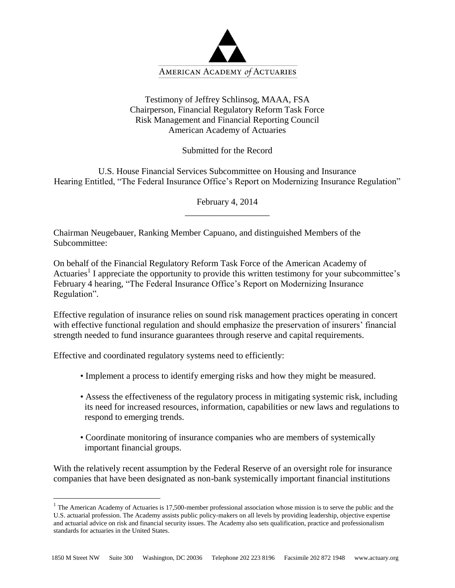

## Testimony of Jeffrey Schlinsog, MAAA, FSA Chairperson, Financial Regulatory Reform Task Force Risk Management and Financial Reporting Council American Academy of Actuaries

Submitted for the Record

U.S. House Financial Services Subcommittee on Housing and Insurance Hearing Entitled, "The Federal Insurance Office's Report on Modernizing Insurance Regulation"

> February 4, 2014 \_\_\_\_\_\_\_\_\_\_\_\_\_\_\_\_\_\_\_

Chairman Neugebauer, Ranking Member Capuano, and distinguished Members of the Subcommittee:

On behalf of the Financial Regulatory Reform Task Force of the American Academy of Actuaries<sup>1</sup> I appreciate the opportunity to provide this written testimony for your subcommittee's February 4 hearing, "The Federal Insurance Office's Report on Modernizing Insurance Regulation".

Effective regulation of insurance relies on sound risk management practices operating in concert with effective functional regulation and should emphasize the preservation of insurers' financial strength needed to fund insurance guarantees through reserve and capital requirements.

Effective and coordinated regulatory systems need to efficiently:

 $\overline{a}$ 

- Implement a process to identify emerging risks and how they might be measured.
- Assess the effectiveness of the regulatory process in mitigating systemic risk, including its need for increased resources, information, capabilities or new laws and regulations to respond to emerging trends.
- Coordinate monitoring of insurance companies who are members of systemically important financial groups.

With the relatively recent assumption by the Federal Reserve of an oversight role for insurance companies that have been designated as non-bank systemically important financial institutions

 $1$  The American Academy of Actuaries is 17,500-member professional association whose mission is to serve the public and the U.S. actuarial profession. The Academy assists public policy-makers on all levels by providing leadership, objective expertise and actuarial advice on risk and financial security issues. The Academy also sets qualification, practice and professionalism standards for actuaries in the United States.